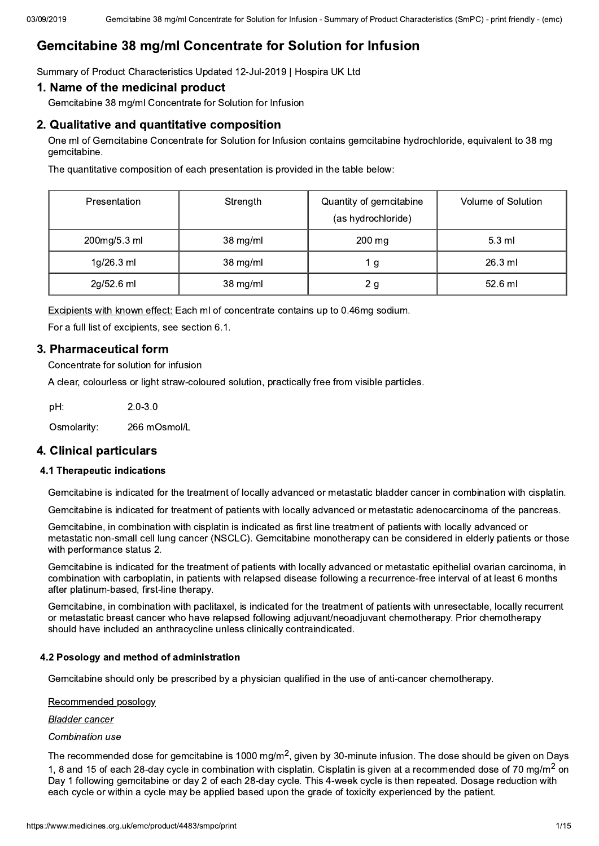# Gemcitabine 38 mg/ml Concentrate for Solution for Infusion

Summary of Product Characteristics Updated 12-Jul-2019 | Hospira UK Ltd

### 1. Name of the medicinal product

Gemcitabine 38 mg/ml Concentrate for Solution for Infusion

### 2. Qualitative and quantitative composition

One ml of Gemcitabine Concentrate for Solution for Infusion contains gemcitabine hydrochloride, equivalent to 38 mg gemcitabine.

The quantitative composition of each presentation is provided in the table below:

| <b>Presentation</b> | Strength | Quantity of gemcitabine<br>(as hydrochloride) | Volume of Solution |
|---------------------|----------|-----------------------------------------------|--------------------|
| 200mg/5.3 ml        | 38 mg/ml | $200 \text{ mg}$                              | $5.3 \text{ ml}$   |
| 1g/26.3 ml          | 38 mg/ml | 1 g                                           | $26.3$ ml          |
| 2g/52.6 ml          | 38 mg/ml | 2 <sub>g</sub>                                | 52.6 ml            |

Excipients with known effect: Each ml of concentrate contains up to 0.46mg sodium.

For a full list of excipients, see section 6.1.

### 3. Pharmaceutical form

Concentrate for solution for infusion

A clear, colourless or light straw-coloured solution, practically free from visible particles.

 $2.0 - 3.0$ pH: Osmolarity: 266 mOsmol/L

### 4. Clinical particulars

#### 4.1 Therapeutic indications

Gemcitabine is indicated for the treatment of locally advanced or metastatic bladder cancer in combination with cisplatin.

Gemcitabine is indicated for treatment of patients with locally advanced or metastatic adenocarcinoma of the pancreas.

Gemcitabine, in combination with cisplatin is indicated as first line treatment of patients with locally advanced or metastatic non-small cell lung cancer (NSCLC). Gemcitabine monotherapy can be considered in elderly patients or those with performance status 2.

Gemcitabine is indicated for the treatment of patients with locally advanced or metastatic epithelial ovarian carcinoma, in combination with carboplatin, in patients with relapsed disease following a recurrence-free interval of at least 6 months after platinum-based, first-line therapy.

Gemcitabine, in combination with paclitaxel, is indicated for the treatment of patients with unresectable, locally recurrent or metastatic breast cancer who have relapsed following adjuvant/neoadjuvant chemotherapy. Prior chemotherapy should have included an anthracycline unless clinically contraindicated.

#### 4.2 Posology and method of administration

Gemcitabine should only be prescribed by a physician qualified in the use of anti-cancer chemotherapy.

Recommended posology

**Bladder cancer** 

#### Combination use

The recommended dose for gemcitabine is 1000 mg/m<sup>2</sup>, given by 30-minute infusion. The dose should be given on Days 1, 8 and 15 of each 28-day cycle in combination with cisplatin. Cisplatin is given at a recommended dose of 70 mg/m<sup>2</sup> on Day 1 following gemcitabine or day 2 of each 28-day cycle. This 4-week cycle is then repeated. Dosage reduction with each cycle or within a cycle may be applied based upon the grade of toxicity experienced by the patient.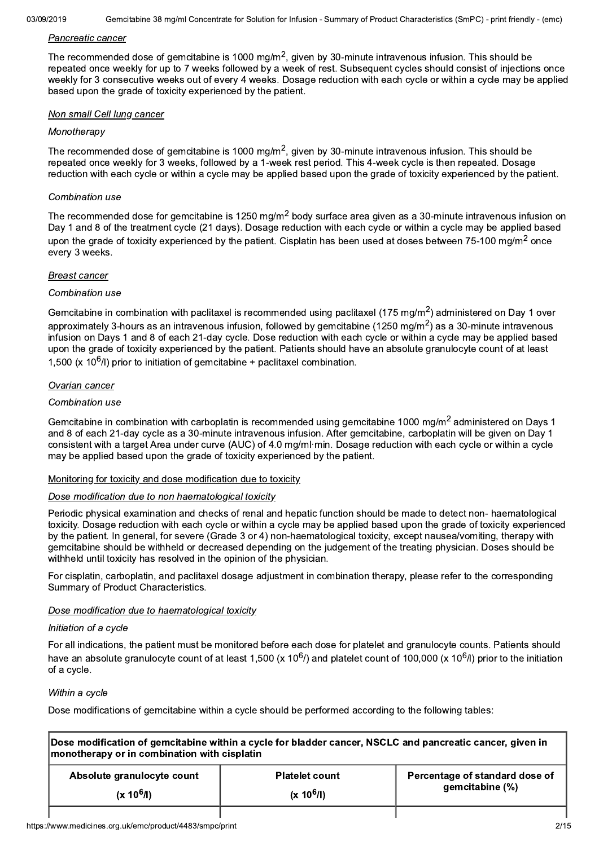#### Pancreatic cancer

The recommended dose of gemcitabine is 1000 mg/m<sup>2</sup>, given by 30-minute intravenous infusion. This should be repeated once weekly for up to 7 weeks followed by a week of rest. Subsequent cycles should consist of injections once weekly for 3 consecutive weeks out of every 4 weeks. Dosage reduction with each cycle or within a cycle may be applied based upon the grade of toxicity experienced by the patient.

#### Non small Cell lung cancer

#### Monotherapy

The recommended dose of gemcitabine is 1000 mg/m<sup>2</sup>, given by 30-minute intravenous infusion. This should be repeated once weekly for 3 weeks, followed by a 1-week rest period. This 4-week cycle is then repeated. Dosage reduction with each cycle or within a cycle may be applied based upon the grade of toxicity experienced by the patient.

#### Combination use

The recommended dose for gemcitabine is 1250 mg/m<sup>2</sup> body surface area given as a 30-minute intravenous infusion on Day 1 and 8 of the treatment cycle (21 days). Dosage reduction with each cycle or within a cycle may be applied based upon the grade of toxicity experienced by the patient. Cisplatin has been used at doses between 75-100 mg/m<sup>2</sup> once every 3 weeks.

#### **Breast cancer**

#### Combination use

Gemcitabine in combination with paclitaxel is recommended using paclitaxel (175 mg/m<sup>2</sup>) administered on Day 1 over approximately 3-hours as an intravenous infusion, followed by gemcitabine (1250 mg/m<sup>2</sup>) as a 30-minute intravenous infusion on Days 1 and 8 of each 21-day cycle. Dose reduction with each cycle or within a cycle may be applied based upon the grade of toxicity experienced by the patient. Patients should have an absolute granulocyte count of at least 1.500 (x  $10^6$ /l) prior to initiation of gemcitabine + paclitaxel combination.

### Ovarian cancer

#### Combination use

Gemcitabine in combination with carboplatin is recommended using gemcitabine 1000 mg/m<sup>2</sup> administered on Days 1 and 8 of each 21-day cycle as a 30-minute intravenous infusion. After gemcitabine, carboplatin will be given on Day 1 consistent with a target Area under curve (AUC) of 4.0 mg/ml·min. Dosage reduction with each cycle or within a cycle may be applied based upon the grade of toxicity experienced by the patient.

#### Monitoring for toxicity and dose modification due to toxicity

#### Dose modification due to non haematological toxicity

Periodic physical examination and checks of renal and hepatic function should be made to detect non- haematological toxicity. Dosage reduction with each cycle or within a cycle may be applied based upon the grade of toxicity experienced by the patient. In general, for severe (Grade 3 or 4) non-haematological toxicity, except nausea/vomiting, therapy with gemcitabine should be withheld or decreased depending on the judgement of the treating physician. Doses should be withheld until toxicity has resolved in the opinion of the physician.

For cisplatin, carboplatin, and paclitaxel dosage adjustment in combination therapy, please refer to the corresponding Summary of Product Characteristics.

### Dose modification due to haematological toxicity

#### Initiation of a cycle

For all indications, the patient must be monitored before each dose for platelet and granulocyte counts. Patients should have an absolute granulocyte count of at least 1,500 (x 10<sup>6</sup>/) and platelet count of 100,000 (x 10<sup>6</sup>/l) prior to the initiation of a cycle.

#### Within a cycle

Dose modifications of gemcitabine within a cycle should be performed according to the following tables:

| Dose modification of gemcitabine within a cycle for bladder cancer, NSCLC and pancreatic cancer, given in<br>monotherapy or in combination with cisplatin |                       |                                |  |  |  |
|-----------------------------------------------------------------------------------------------------------------------------------------------------------|-----------------------|--------------------------------|--|--|--|
| Absolute granulocyte count                                                                                                                                | <b>Platelet count</b> | Percentage of standard dose of |  |  |  |
| gemcitabine (%)<br>$(x 10^6/l)$<br>$(x 10^6/l)$                                                                                                           |                       |                                |  |  |  |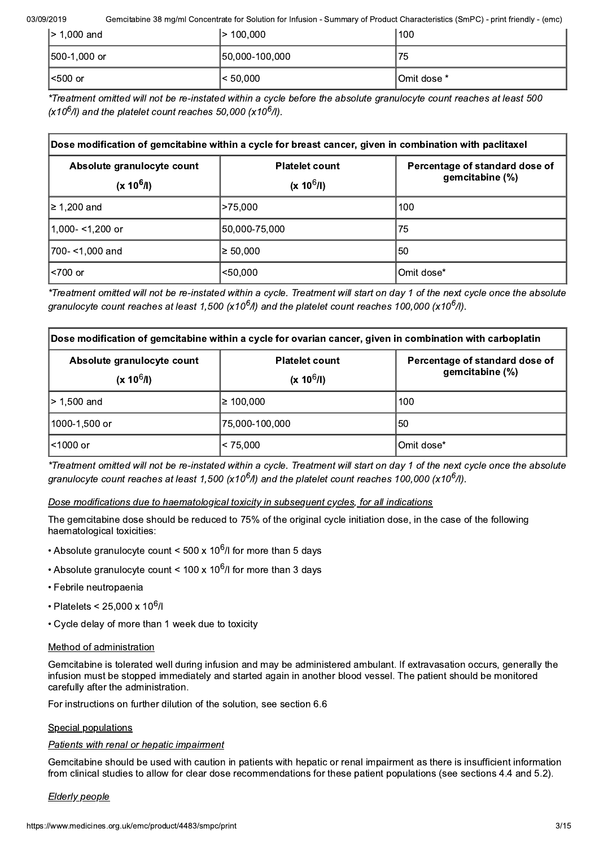03/09/2019 Gemcit itabine 38 mg/ml Concentrate for Solution for Infusion - Summary of Product Characteristics (SmPC) - print friendly - (emc)

| $\geq 1,000$ and | >100,000       | 100          |
|------------------|----------------|--------------|
| $ 500-1,000$ or  | 50,000-100,000 | 75           |
| l<500 or         | $ $ < 50,000   | 10mit dose * |

\*Treatment omitted will not be re-instated within a cycle before the absolute granulocyte count reaches at least 500  $(X10<sup>6</sup>/I)$  and the platelet count reaches 50,000  $(X10<sup>6</sup>/I)$ .

| Dose modification of gemcitabine within a cycle for breast cancer, given in combination with paclitaxel |               |                                                   |  |  |
|---------------------------------------------------------------------------------------------------------|---------------|---------------------------------------------------|--|--|
| <b>Platelet count</b><br>Absolute granulocyte count<br>$(x 10^6/l)$<br>$(x 10^6/l)$                     |               | Percentage of standard dose of<br>gemcitabine (%) |  |  |
| ≥ 1,200 and                                                                                             | >75,000       | 100                                               |  |  |
| 1,000- <1,200 or                                                                                        | 50,000-75,000 | 75                                                |  |  |
| 1700- <1.000 and                                                                                        | $\geq 50,000$ | 50                                                |  |  |
| <700 or                                                                                                 | $50,000$      | Omit dose*                                        |  |  |

\*Treatment omitted will not be re-instated within a cycle. Treatment will start on day 1 of the next cycle once the absolute granulocyte count reaches at least 1,500 (x10<sup>6</sup>/l) and the platelet count reaches 100,000 (x10<sup>6</sup>/l).

| Dose modification of gemcitabine within a cycle for ovarian cancer, given in combination with carboplatin |                                       |                                                   |  |  |
|-----------------------------------------------------------------------------------------------------------|---------------------------------------|---------------------------------------------------|--|--|
| Absolute granulocyte count<br>$(x 10^6/l)$                                                                | <b>Platelet count</b><br>$(x 10^6/l)$ | Percentage of standard dose of<br>gemcitabine (%) |  |  |
| l> 1.500 and                                                                                              | $\geq 100.000$                        | 100                                               |  |  |
| l1000-1.500 or                                                                                            | 75.000-100.000                        | 50                                                |  |  |
| l<1000 or                                                                                                 | $ $ < 75,000                          | Omit dose*                                        |  |  |

\*Treatment omitted will not be re-instated within a cycle. Treatment will start on day 1 of the next cycle once the absolute aranulocyte count reaches at least 1.500 (x10<sup>6</sup>/l) and the platelet count reaches 100.000 (x10<sup>6</sup>/l).

### Dose modifications due to haematological toxicity in subsequent cycles, for all indications

The gemoitabine dose should be reduced to 75% of the original cycle initiation dose, in the case of the following haematological toxicities:

- Absolute granulocyte count < 500 x 10<sup>6</sup>/l for more than 5 days
- Absolute granulocyte count < 100 x 10<sup>6</sup>/l for more than 3 days
- Febrile neutropaenia
- Platelets < 25.000 x 10<sup>6</sup>/l
- Cycle delay of more than 1 week due to toxicity

### Method of administration

Gemcitabine is tolerated well during infusion and may be administered ambulant. If extravasation occurs, generally the infusion must be stopped immediately and started again in another blood vessel. The patient should be monitored carefully after the administration.

For instructions on further dilution of the solution, see section 6.6

### Special populations

### Patients with renal or hepatic impairment

Gemcitabine should be used with caution in patients with hepatic or renal impairment as there is insufficient information from clinical studies to allow for clear dose recommendations for these patient populations (see sections 4.4 and 5.2).

### Elderly people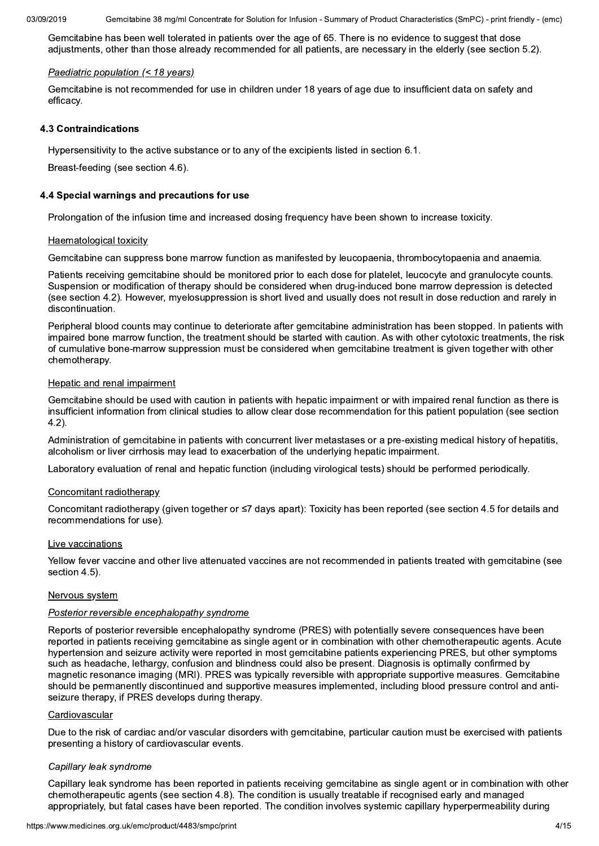Gemcitabine has been well tolerated in patients over the age of 65. There is no evidence to suggest that dose adjustments, other than those already recommended for all patients, are necessary in the elderly (see section 5.2).

#### Paediatric population (< 18 years)

Gemcitabine is not recommended for use in children under 18 years of age due to insufficient data on safety and efficacv.

#### **4.3 Contraindications**

Hypersensitivity to the active substance or to any of the excipients listed in section 6.1.

Breast-feeding (see section 4.6).

#### 4.4 Special warnings and precautions for use

Prolongation of the infusion time and increased dosing frequency have been shown to increase toxicity.

#### Haematological toxicity

Gemcitabine can suppress bone marrow function as manifested by leucopaenia, thrombocytopaenia and anaemia.

Patients receiving gemcitabine should be monitored prior to each dose for platelet, leucocyte and granulocyte counts. Suspension or modification of therapy should be considered when drug-induced bone marrow depression is detected (see section 4.2). However, myelosuppression is short lived and usually does not result in dose reduction and rarely in discontinuation.

Peripheral blood counts may continue to deteriorate after gemcitabine administration has been stopped. In patients with impaired bone marrow function, the treatment should be started with caution. As with other cytotoxic treatments, the risk of cumulative bone-marrow suppression must be considered when gemcitabine treatment is given together with other chemotherapy.

#### Hepatic and renal impairment

Gemcitabine should be used with caution in patients with hepatic impairment or with impaired renal function as there is insufficient information from clinical studies to allow clear dose recommendation for this patient population (see section  $4.2$ ).

Administration of gemcitabine in patients with concurrent liver metastases or a pre-existing medical history of hepatitis. alcoholism or liver cirrhosis may lead to exacerbation of the underlying hepatic impairment.

Laboratory evaluation of renal and hepatic function (including virological tests) should be performed periodically.

#### Concomitant radiotherapy

Concomitant radiotherapy (given together or ≤7 days apart): Toxicity has been reported (see section 4.5 for details and recommendations for use).

#### Live vaccinations

Yellow fever vaccine and other live attenuated vaccines are not recommended in patients treated with gemcitabine (see section 4.5).

#### Nervous system

#### Posterior reversible encephalopathy syndrome

Reports of posterior reversible encephalopathy syndrome (PRES) with potentially severe consequences have been reported in patients receiving gemcitabine as single agent or in combination with other chemotherapeutic agents. Acute hypertension and seizure activity were reported in most gemcitabine patients experiencing PRES, but other symptoms such as headache, lethargy, confusion and blindness could also be present. Diagnosis is optimally confirmed by magnetic resonance imaging (MRI). PRES was typically reversible with appropriate supportive measures. Gemcitabine should be permanently discontinued and supportive measures implemented, including blood pressure control and antiseizure therapy, if PRES develops during therapy.

#### Cardiovascular

Due to the risk of cardiac and/or vascular disorders with gemcitabine, particular caution must be exercised with patients presenting a history of cardiovascular events.

#### Capillary leak syndrome

Capillary leak syndrome has been reported in patients receiving gemcitabine as single agent or in combination with other chemotherapeutic agents (see section 4.8). The condition is usually treatable if recognised early and managed appropriately, but fatal cases have been reported. The condition involves systemic capillary hyperpermeability during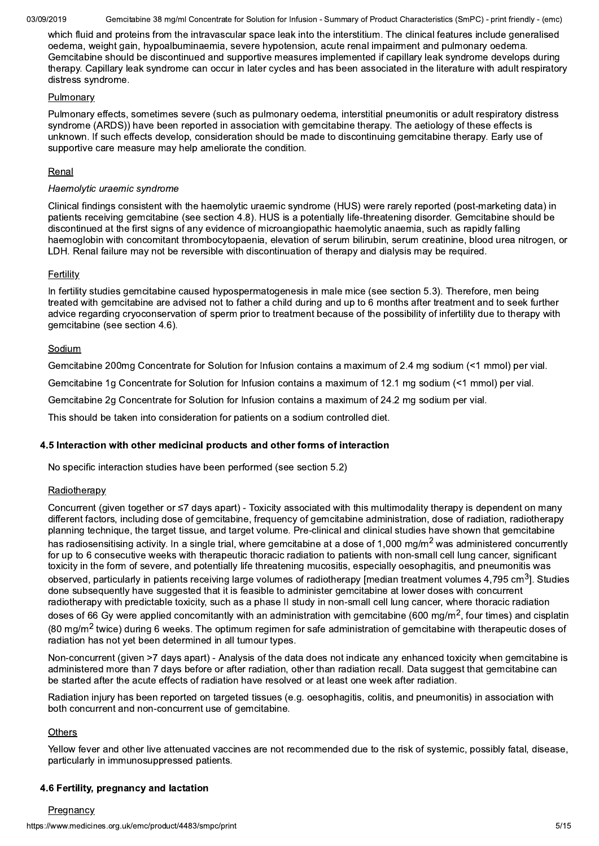Gemcitabine 38 mg/ml Concentrate for Solution for Infusion - Summary of Product Characteristics (SmPC) - print friendly - (emc)

which fluid and proteins from the intravascular space leak into the interstitium. The clinical features include generalised oedema, weight gain, hypoalbuminaemia, severe hypotension, acute renal impairment and pulmonary oedema. Gemcitabine should be discontinued and supportive measures implemented if capillary leak syndrome develops during therapy. Capillary leak syndrome can occur in later cycles and has been associated in the literature with adult respiratory distress syndrome.

#### Pulmonary

Pulmonary effects, sometimes severe (such as pulmonary oedema, interstitial pneumonitis or adult respiratory distress syndrome (ARDS)) have been reported in association with gemcitabine therapy. The aetiology of these effects is unknown. If such effects develop, consideration should be made to discontinuing gemcitabine therapy. Early use of supportive care measure may help ameliorate the condition.

### Renal

### Haemolytic uraemic syndrome

Clinical findings consistent with the haemolytic uraemic syndrome (HUS) were rarely reported (post-marketing data) in patients receiving gemcitabine (see section 4.8). HUS is a potentially life-threatening disorder. Gemcitabine should be discontinued at the first signs of any evidence of microangiopathic haemolytic anaemia, such as rapidly falling haemoglobin with concomitant thrombocytopaenia, elevation of serum bilirubin, serum creatinine, blood urea nitrogen, or LDH. Renal failure may not be reversible with discontinuation of therapy and dialysis may be required.

### **Fertility**

In fertility studies gemcitabine caused hypospermatogenesis in male mice (see section 5.3). Therefore, men being treated with gemcitabine are advised not to father a child during and up to 6 months after treatment and to seek further advice regarding cryoconservation of sperm prior to treatment because of the possibility of infertility due to therapy with gemcitabine (see section 4.6).

#### Sodium

Gemcitabine 200mg Concentrate for Solution for Infusion contains a maximum of 2.4 mg sodium (<1 mmol) per vial.

Gemcitabine 1g Concentrate for Solution for Infusion contains a maximum of 12.1 mg sodium (<1 mmol) per vial.

Gemcitabine 2q Concentrate for Solution for Infusion contains a maximum of 24.2 mg sodium per vial.

This should be taken into consideration for patients on a sodium controlled diet.

### 4.5 Interaction with other medicinal products and other forms of interaction

No specific interaction studies have been performed (see section 5.2)

### Radiotherapy

Concurrent (given together or  $\leq 7$  days apart) - Toxicity associated with this multimodality therapy is dependent on many different factors, including dose of gemcitabine, frequency of gemcitabine administration, dose of radiation, radiotherapy planning technique, the target tissue, and target volume. Pre-clinical and clinical studies have shown that gemcitabine has radiosensitising activity. In a single trial, where gemcitabine at a dose of 1,000 mg/m<sup>2</sup> was administered concurrently for up to 6 consecutive weeks with therapeutic thoracic radiation to patients with non-small cell lung cancer, significant toxicity in the form of severe, and potentially life threatening mucositis, especially oesophagitis, and pneumonitis was observed, particularly in patients receiving large volumes of radiotherapy [median treatment volumes 4,795 cm<sup>3</sup>]. Studies done subsequently have suggested that it is feasible to administer gemcitabine at lower doses with concurrent radiotherapy with predictable toxicity, such as a phase II study in non-small cell lung cancer, where thoracic radiation doses of 66 Gy were applied concomitantly with an administration with gemcitabine (600 mg/m<sup>2</sup>, four times) and cisplatin (80 mg/m<sup>2</sup> twice) during 6 weeks. The optimum regimen for safe administration of gemcitabine with therapeutic doses of radiation has not yet been determined in all tumour types.

Non-concurrent (given >7 days apart) - Analysis of the data does not indicate any enhanced toxicity when gemcitabine is administered more than 7 days before or after radiation, other than radiation recall. Data suggest that gemcitabine can be started after the acute effects of radiation have resolved or at least one week after radiation.

Radiation injury has been reported on targeted tissues (e.g. oesophagitis, colitis, and pneumonitis) in association with both concurrent and non-concurrent use of gemcitabine.

### Others

Yellow fever and other live attenuated vaccines are not recommended due to the risk of systemic, possibly fatal, disease, particularly in immunosuppressed patients.

### 4.6 Fertility, pregnancy and lactation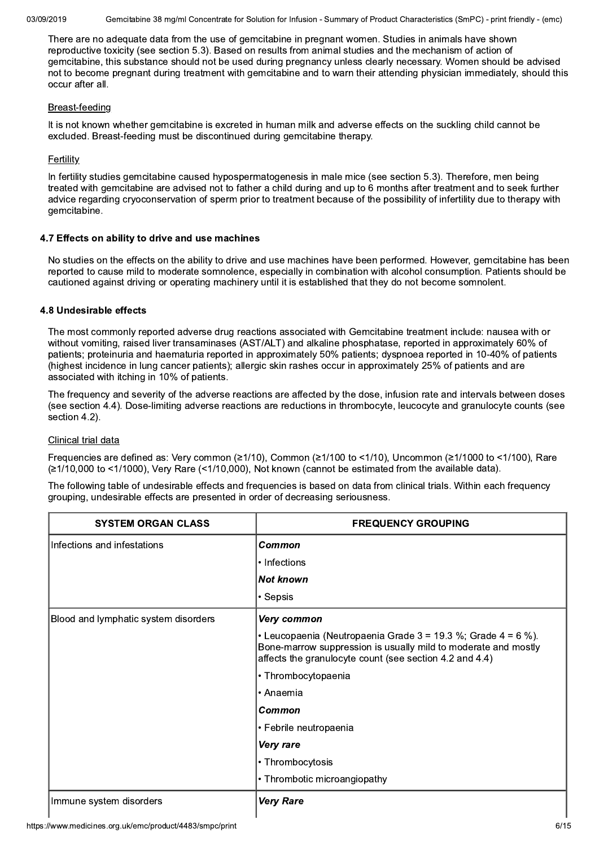Gemcitabine 38 mg/ml Concentrate for Solution for Infusion - Summary of Product Characteristics (SmPC) - print friendly - (emc)

There are no adequate data from the use of gemcitabine in pregnant women. Studies in animals have shown reproductive toxicity (see section 5.3). Based on results from animal studies and the mechanism of action of gemcitabine, this substance should not be used during pregnancy unless clearly necessary. Women should be advised not to become pregnant during treatment with gemcitabine and to warn their attending physician immediately, should this occur after all.

#### Breast-feeding

It is not known whether gemcitabine is excreted in human milk and adverse effects on the suckling child cannot be excluded. Breast-feeding must be discontinued during gemcitabine therapy.

### **Fertility**

In fertility studies gemcitabine caused hypospermatogenesis in male mice (see section 5.3). Therefore, men being treated with gemcitabine are advised not to father a child during and up to 6 months after treatment and to seek further advice regarding cryoconservation of sperm prior to treatment because of the possibility of infertility due to therapy with gemcitabine.

### 4.7 Effects on ability to drive and use machines

No studies on the effects on the ability to drive and use machines have been performed. However, gemcitabine has been reported to cause mild to moderate somnolence, especially in combination with alcohol consumption. Patients should be cautioned against driving or operating machinery until it is established that they do not become somnolent.

### 4.8 Undesirable effects

The most commonly reported adverse drug reactions associated with Gemcitabine treatment include: nausea with or without vomiting, raised liver transaminases (AST/ALT) and alkaline phosphatase, reported in approximately 60% of patients; proteinuria and haematuria reported in approximately 50% patients; dyspnoea reported in 10-40% of patients (highest incidence in lung cancer patients); allergic skin rashes occur in approximately 25% of patients and are associated with itching in 10% of patients.

The frequency and severity of the adverse reactions are affected by the dose, infusion rate and intervals between doses (see section 4.4). Dose-limiting adverse reactions are reductions in thrombocyte, leucocyte and granulocyte counts (see section 4.2).

### Clinical trial data

Frequencies are defined as: Very common (≥1/10). Common (≥1/100 to <1/10). Uncommon (≥1/1000 to <1/100). Rare  $\geq$ 1/10.000 to <1/1000). Very Rare (<1/10.000). Not known (cannot be estimated from the available data).

The following table of undesirable effects and frequencies is based on data from clinical trials. Within each frequency grouping, undesirable effects are presented in order of decreasing seriousness.

| <b>SYSTEM ORGAN CLASS</b>            | <b>FREQUENCY GROUPING</b>                                                                                                                                                                      |  |
|--------------------------------------|------------------------------------------------------------------------------------------------------------------------------------------------------------------------------------------------|--|
| Infections and infestations          | Common                                                                                                                                                                                         |  |
|                                      | • Infections                                                                                                                                                                                   |  |
|                                      | <b>Not known</b>                                                                                                                                                                               |  |
|                                      | • Sepsis                                                                                                                                                                                       |  |
| Blood and lymphatic system disorders | Very common                                                                                                                                                                                    |  |
|                                      | • Leucopaenia (Neutropaenia Grade $3 = 19.3$ %; Grade $4 = 6$ %).<br>Bone-marrow suppression is usually mild to moderate and mostly<br>affects the granulocyte count (see section 4.2 and 4.4) |  |
|                                      | • Thrombocytopaenia                                                                                                                                                                            |  |
|                                      | • Anaemia                                                                                                                                                                                      |  |
|                                      | Common                                                                                                                                                                                         |  |
|                                      | • Febrile neutropaenia                                                                                                                                                                         |  |
|                                      | Very rare                                                                                                                                                                                      |  |
|                                      | • Thrombocytosis                                                                                                                                                                               |  |
|                                      | • Thrombotic microangiopathy                                                                                                                                                                   |  |
| Immune system disorders              | <b>Very Rare</b>                                                                                                                                                                               |  |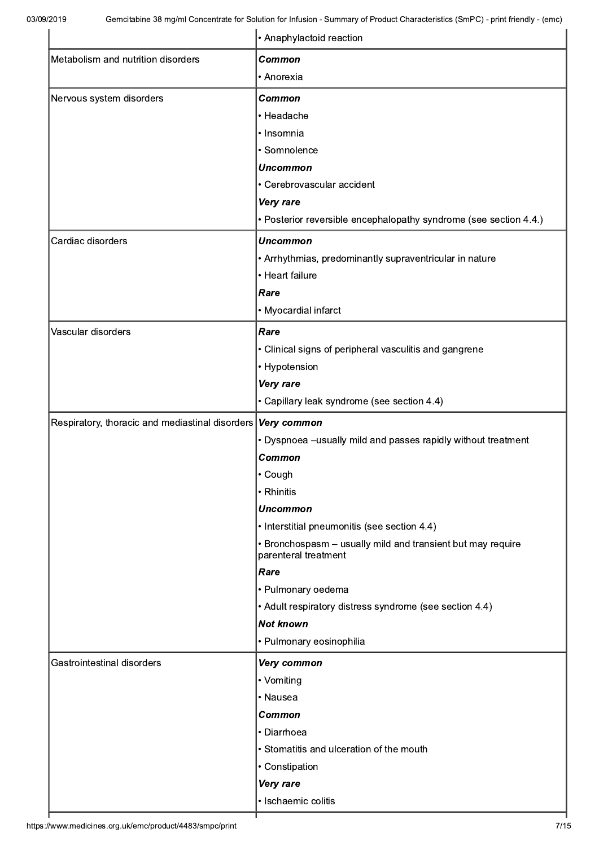|                                                 | • Anaphylactoid reaction                                                            |  |  |
|-------------------------------------------------|-------------------------------------------------------------------------------------|--|--|
| Metabolism and nutrition disorders              | <b>Common</b>                                                                       |  |  |
|                                                 | • Anorexia                                                                          |  |  |
| Nervous system disorders                        | <b>Common</b>                                                                       |  |  |
|                                                 | • Headache                                                                          |  |  |
|                                                 | · Insomnia                                                                          |  |  |
|                                                 | · Somnolence                                                                        |  |  |
|                                                 | <b>Uncommon</b>                                                                     |  |  |
|                                                 | • Cerebrovascular accident                                                          |  |  |
|                                                 | Very rare                                                                           |  |  |
|                                                 | • Posterior reversible encephalopathy syndrome (see section 4.4.)                   |  |  |
| Cardiac disorders                               | <b>Uncommon</b>                                                                     |  |  |
|                                                 | • Arrhythmias, predominantly supraventricular in nature                             |  |  |
|                                                 | • Heart failure                                                                     |  |  |
|                                                 | Rare                                                                                |  |  |
|                                                 | • Myocardial infarct                                                                |  |  |
| Vascular disorders                              | Rare                                                                                |  |  |
|                                                 | • Clinical signs of peripheral vasculitis and gangrene                              |  |  |
|                                                 | • Hypotension                                                                       |  |  |
|                                                 | Very rare                                                                           |  |  |
|                                                 | • Capillary leak syndrome (see section 4.4)                                         |  |  |
| Respiratory, thoracic and mediastinal disorders | Very common                                                                         |  |  |
|                                                 | • Dyspnoea -usually mild and passes rapidly without treatment                       |  |  |
|                                                 | <b>Common</b>                                                                       |  |  |
|                                                 | $\cdot$ Cough                                                                       |  |  |
|                                                 | • Rhinitis                                                                          |  |  |
|                                                 | <b>Uncommon</b>                                                                     |  |  |
|                                                 | • Interstitial pneumonitis (see section 4.4)                                        |  |  |
|                                                 | • Bronchospasm - usually mild and transient but may require<br>parenteral treatment |  |  |
|                                                 | Rare                                                                                |  |  |
|                                                 | • Pulmonary oedema                                                                  |  |  |
|                                                 | • Adult respiratory distress syndrome (see section 4.4)                             |  |  |
|                                                 | <b>Not known</b>                                                                    |  |  |
|                                                 | • Pulmonary eosinophilia                                                            |  |  |
| Gastrointestinal disorders                      | Very common                                                                         |  |  |
|                                                 | • Vomiting                                                                          |  |  |
|                                                 | • Nausea                                                                            |  |  |
|                                                 | <b>Common</b>                                                                       |  |  |
|                                                 | • Diarrhoea                                                                         |  |  |
|                                                 | • Stomatitis and ulceration of the mouth                                            |  |  |
|                                                 | • Constipation                                                                      |  |  |
|                                                 | Very rare                                                                           |  |  |
|                                                 | · Ischaemic colitis                                                                 |  |  |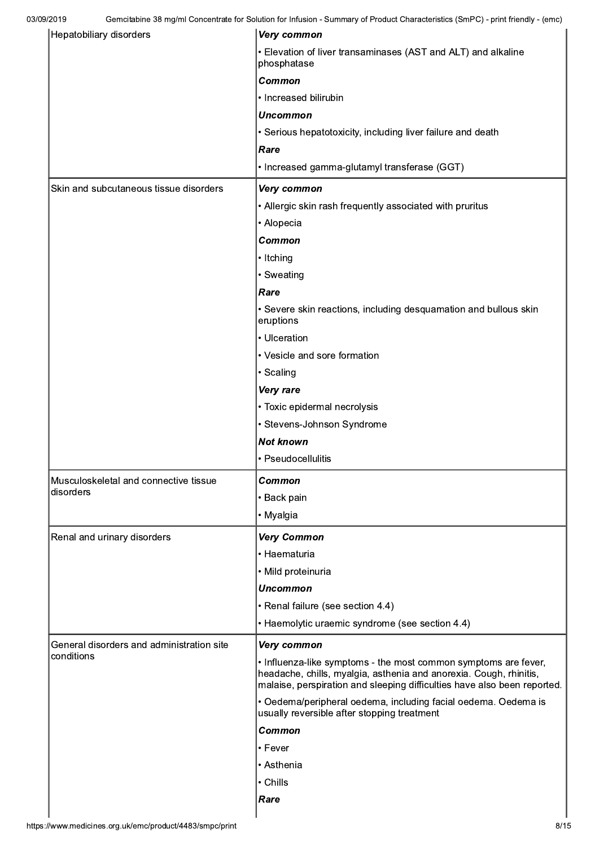| Hepatobiliary disorders                   | Very common                                                                                                                                                                                                       |  |  |
|-------------------------------------------|-------------------------------------------------------------------------------------------------------------------------------------------------------------------------------------------------------------------|--|--|
|                                           | • Elevation of liver transaminases (AST and ALT) and alkaline<br>phosphatase                                                                                                                                      |  |  |
|                                           | <b>Common</b>                                                                                                                                                                                                     |  |  |
|                                           | • Increased bilirubin                                                                                                                                                                                             |  |  |
|                                           | <b>Uncommon</b>                                                                                                                                                                                                   |  |  |
|                                           | • Serious hepatotoxicity, including liver failure and death                                                                                                                                                       |  |  |
|                                           | Rare                                                                                                                                                                                                              |  |  |
|                                           | • Increased gamma-glutamyl transferase (GGT)                                                                                                                                                                      |  |  |
| Skin and subcutaneous tissue disorders    | Very common                                                                                                                                                                                                       |  |  |
|                                           | • Allergic skin rash frequently associated with pruritus                                                                                                                                                          |  |  |
|                                           | • Alopecia                                                                                                                                                                                                        |  |  |
|                                           | Common                                                                                                                                                                                                            |  |  |
|                                           | • Itching                                                                                                                                                                                                         |  |  |
|                                           | • Sweating                                                                                                                                                                                                        |  |  |
|                                           | Rare                                                                                                                                                                                                              |  |  |
|                                           | • Severe skin reactions, including desquamation and bullous skin<br>eruptions                                                                                                                                     |  |  |
|                                           | • Ulceration                                                                                                                                                                                                      |  |  |
|                                           | • Vesicle and sore formation                                                                                                                                                                                      |  |  |
|                                           | • Scaling                                                                                                                                                                                                         |  |  |
|                                           | Very rare                                                                                                                                                                                                         |  |  |
|                                           | • Toxic epidermal necrolysis                                                                                                                                                                                      |  |  |
|                                           | • Stevens-Johnson Syndrome                                                                                                                                                                                        |  |  |
|                                           | <b>Not known</b>                                                                                                                                                                                                  |  |  |
|                                           | • Pseudocellulitis                                                                                                                                                                                                |  |  |
| Musculoskeletal and connective tissue     | <b>Common</b>                                                                                                                                                                                                     |  |  |
| disorders                                 | • Back pain                                                                                                                                                                                                       |  |  |
|                                           | • Myalgia                                                                                                                                                                                                         |  |  |
| Renal and urinary disorders               | <b>Very Common</b>                                                                                                                                                                                                |  |  |
|                                           | • Haematuria                                                                                                                                                                                                      |  |  |
|                                           | • Mild proteinuria                                                                                                                                                                                                |  |  |
|                                           | <b>Uncommon</b>                                                                                                                                                                                                   |  |  |
|                                           | • Renal failure (see section 4.4)                                                                                                                                                                                 |  |  |
|                                           | • Haemolytic uraemic syndrome (see section 4.4)                                                                                                                                                                   |  |  |
| General disorders and administration site | Very common                                                                                                                                                                                                       |  |  |
| conditions                                | • Influenza-like symptoms - the most common symptoms are fever,<br>headache, chills, myalgia, asthenia and anorexia. Cough, rhinitis,<br>malaise, perspiration and sleeping difficulties have also been reported. |  |  |
|                                           | • Oedema/peripheral oedema, including facial oedema. Oedema is<br>usually reversible after stopping treatment                                                                                                     |  |  |
|                                           | Common                                                                                                                                                                                                            |  |  |
|                                           | • Fever                                                                                                                                                                                                           |  |  |
|                                           | • Asthenia                                                                                                                                                                                                        |  |  |
|                                           | • Chills                                                                                                                                                                                                          |  |  |
|                                           | Rare                                                                                                                                                                                                              |  |  |
|                                           |                                                                                                                                                                                                                   |  |  |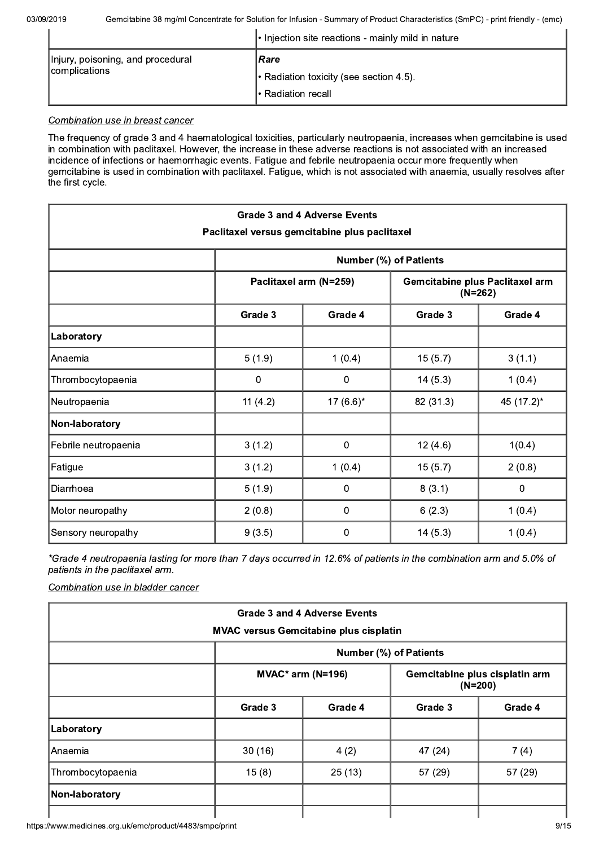|                                   | $\cdot$ Injection site reactions - mainly mild in nature |
|-----------------------------------|----------------------------------------------------------|
| Injury, poisoning, and procedural | Rare                                                     |
| complications                     | $\cdot$ Radiation toxicity (see section 4.5).            |
|                                   | Ⅰ• Radiation recall                                      |

### Combination use in breast cancer

The frequency of grade 3 and 4 haematological toxicities, particularly neutropaenia, increases when gemcitabine is used in combination with paclitaxel. However, the increase in these adverse reactions is not associated with an increased incidence of infections or haemorrhagic events. Fatigue and febrile neutropaenia occur more frequently when gemcitabine is used in combination with paclitaxel. Fatigue, which is not associated with anaemia, usually resolves after the first cycle.

| <b>Grade 3 and 4 Adverse Events</b><br>Paclitaxel versus gemcitabine plus paclitaxel |                               |                                                                        |           |            |  |
|--------------------------------------------------------------------------------------|-------------------------------|------------------------------------------------------------------------|-----------|------------|--|
|                                                                                      | <b>Number (%) of Patients</b> |                                                                        |           |            |  |
|                                                                                      |                               | Paclitaxel arm (N=259)<br>Gemcitabine plus Paclitaxel arm<br>$(N=262)$ |           |            |  |
|                                                                                      | Grade 3                       | Grade 4<br>Grade 3                                                     |           |            |  |
| Laboratory                                                                           |                               |                                                                        |           |            |  |
| Anaemia                                                                              | 5(1.9)                        | 1(0.4)                                                                 | 15(5.7)   | 3(1.1)     |  |
| Thrombocytopaenia                                                                    | 0                             | 0                                                                      | 14(5.3)   | 1(0.4)     |  |
| Neutropaenia                                                                         | 11 $(4.2)$                    | 17 $(6.6)^*$                                                           | 82 (31.3) | 45 (17.2)* |  |
| Non-laboratory                                                                       |                               |                                                                        |           |            |  |
| Febrile neutropaenia                                                                 | 3(1.2)                        | 0                                                                      | 12(4.6)   | 1(0.4)     |  |
| Fatigue                                                                              | 3(1.2)                        | 1(0.4)                                                                 | 15(5.7)   | 2(0.8)     |  |
| Diarrhoea                                                                            | 5(1.9)                        | 0                                                                      | 8(3.1)    | 0          |  |
| Motor neuropathy                                                                     | 2(0.8)                        | 0                                                                      | 6(2.3)    | 1(0.4)     |  |
| Sensory neuropathy                                                                   | 9(3.5)                        | 0                                                                      | 14(5.3)   | 1(0.4)     |  |

\*Grade 4 neutropaenia lasting for more than 7 days occurred in 12.6% of patients in the combination arm and 5.0% of patients in the paclitaxel arm.

Combination use in bladder cancer

| <b>Grade 3 and 4 Adverse Events</b> |                                               |                     |                                             |         |  |  |
|-------------------------------------|-----------------------------------------------|---------------------|---------------------------------------------|---------|--|--|
|                                     | <b>MVAC versus Gemcitabine plus cisplatin</b> |                     |                                             |         |  |  |
|                                     | <b>Number (%) of Patients</b>                 |                     |                                             |         |  |  |
|                                     |                                               | $MVAC*$ arm (N=196) | Gemcitabine plus cisplatin arm<br>$(N=200)$ |         |  |  |
|                                     | Grade 3                                       | Grade 4             | Grade 3                                     | Grade 4 |  |  |
| Laboratory                          |                                               |                     |                                             |         |  |  |
| Anaemia                             | 30(16)                                        | 4(2)                | 47 (24)                                     | 7(4)    |  |  |
| Thrombocytopaenia                   | 15(8)                                         | 25(13)              | 57(29)                                      | 57 (29) |  |  |
| Non-laboratory                      |                                               |                     |                                             |         |  |  |
|                                     |                                               |                     |                                             |         |  |  |

https://www.medicines.org.uk/emc/product/4483/smpc/print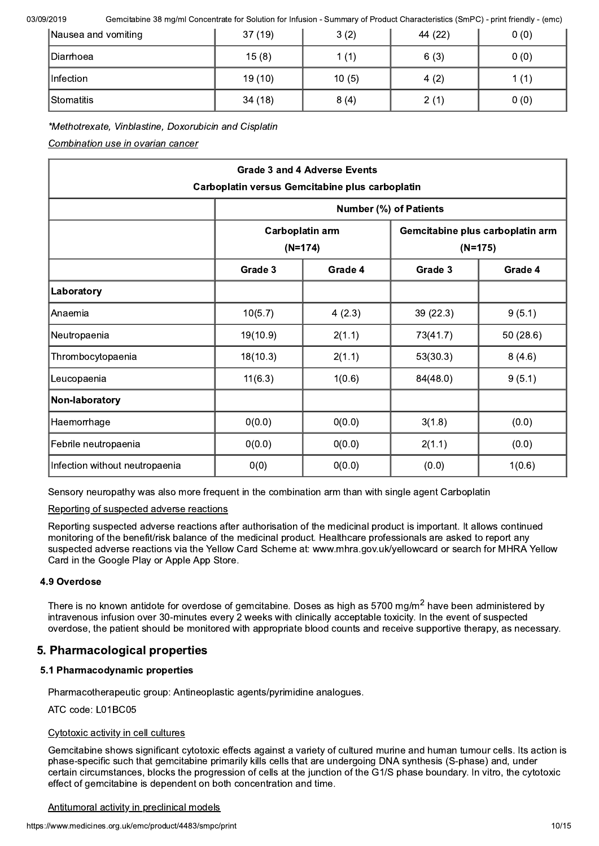Gemcitabine 38 mg/ml Concentrate for Solution for Infusion - Summary of Product Characteristics (SmPC) - print friendly - (emc)

| Nausea and vomiting | 37(19) | 3(2)  | 44 (22) | 0(0) |
|---------------------|--------|-------|---------|------|
| <b>IDiarrhoea</b>   | 15(8)  | 1(1)  | 6(3)    | 0(0) |
| Infection           | 19(10) | 10(5) | 4(2)    | 1(1) |
| <b>IStomatitis</b>  | 34(18) | 8(4)  | 2(1)    | 0(0) |

# \*Methotrexate, Vinblastine, Doxorubicin and Cisplatin

Combination use in ovarian cancer

| <b>Grade 3 and 4 Adverse Events</b>             |                                     |         |                                               |          |  |
|-------------------------------------------------|-------------------------------------|---------|-----------------------------------------------|----------|--|
| Carboplatin versus Gemcitabine plus carboplatin |                                     |         |                                               |          |  |
|                                                 | <b>Number (%) of Patients</b>       |         |                                               |          |  |
|                                                 | <b>Carboplatin arm</b><br>$(N=174)$ |         | Gemcitabine plus carboplatin arm<br>$(N=175)$ |          |  |
|                                                 |                                     |         |                                               |          |  |
|                                                 | Grade 3                             | Grade 4 | Grade 3                                       | Grade 4  |  |
| Laboratory                                      |                                     |         |                                               |          |  |
| Anaemia                                         | 10(5.7)                             | 4(2.3)  | 39(22.3)                                      | 9(5.1)   |  |
| Neutropaenia                                    | 19(10.9)                            | 2(1.1)  | 73(41.7)                                      | 50(28.6) |  |
| Thrombocytopaenia                               | 18(10.3)                            | 2(1.1)  | 53(30.3)                                      | 8(4.6)   |  |
| Leucopaenia                                     | 11(6.3)                             | 1(0.6)  | 84(48.0)                                      | 9(5.1)   |  |
| Non-laboratory                                  |                                     |         |                                               |          |  |
| Haemorrhage                                     | 0(0.0)                              | 0(0.0)  | 3(1.8)                                        | (0.0)    |  |
| Febrile neutropaenia                            | 0(0.0)                              | 0(0.0)  | 2(1.1)                                        | (0.0)    |  |
| Infection without neutropaenia                  | 0(0)                                | 0(0.0)  | (0.0)                                         | 1(0.6)   |  |

Sensory neuropathy was also more frequent in the combination arm than with single agent Carboplatin

### Reporting of suspected adverse reactions

Reporting suspected adverse reactions after authorisation of the medicinal product is important. It allows continued monitoring of the benefit/risk balance of the medicinal product. Healthcare professionals are asked to report any suspected adverse reactions via the Yellow Card Scheme at: www.mhra.gov.uk/yellowcard or search for MHRA Yellow Card in the Google Play or Apple App Store.

### 4.9 Overdose

There is no known antidote for overdose of gemcitabine. Doses as high as 5700 mg/m<sup>2</sup> have been administered by intravenous infusion over 30-minutes every 2 weeks with clinically acceptable toxicity. In the event of suspected overdose, the patient should be monitored with appropriate blood counts and receive supportive therapy, as necessary.

# 5. Pharmacological properties

# 5.1 Pharmacodynamic properties

Pharmacotherapeutic group: Antineoplastic agents/pyrimidine analogues.

ATC code: L01BC05

### Cytotoxic activity in cell cultures

Gemcitabine shows significant cytotoxic effects against a variety of cultured murine and human tumour cells. Its action is phase-specific such that gemcitabine primarily kills cells that are undergoing DNA synthesis (S-phase) and, under certain circumstances, blocks the progression of cells at the junction of the G1/S phase boundary. In vitro, the cytotoxic effect of gemcitabine is dependent on both concentration and time.

#### Antitumoral activity in preclinical models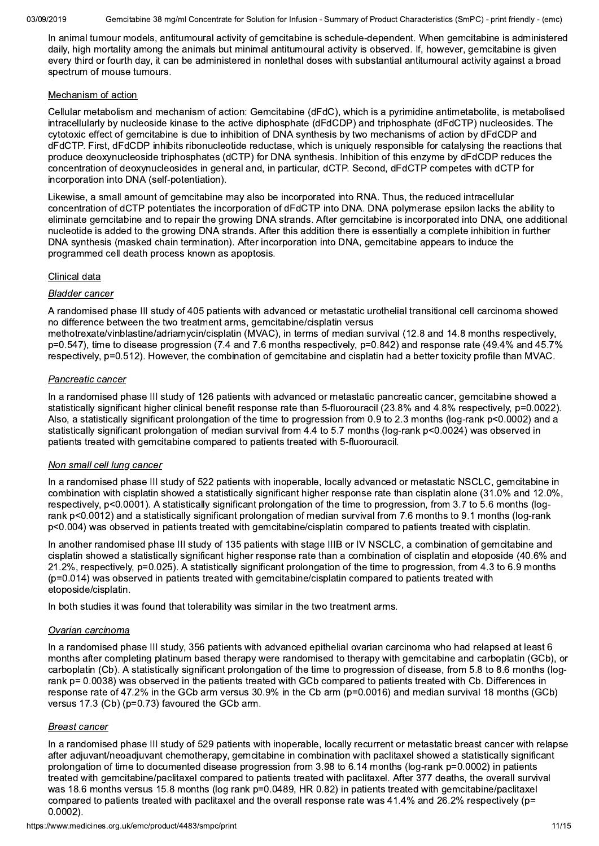Gemcitabine 38 mg/ml Concentrate for Solution for Infusion - Summary of Product Characteristics (SmPC) - print friendly - (emc)

In animal tumour models, antitumoural activity of gemcitabine is schedule-dependent. When gemcitabine is administered daily, high mortality among the animals but minimal antitumoural activity is observed. If, however, gemcitabine is given every third or fourth day, it can be administered in nonlethal doses with substantial antitumoural activity against a broad spectrum of mouse tumours.

### Mechanism of action

Cellular metabolism and mechanism of action: Gemcitabine (dFdC), which is a pyrimidine antimetabolite, is metabolised intracellularly by nucleoside kinase to the active diphosphate (dFdCDP) and triphosphate (dFdCTP) nucleosides. The cytotoxic effect of gemcitabine is due to inhibition of DNA synthesis by two mechanisms of action by dFdCDP and dFdCTP. First, dFdCDP inhibits ribonucleotide reductase, which is uniquely responsible for catalysing the reactions that produce deoxynucleoside triphosphates (dCTP) for DNA synthesis. Inhibition of this enzyme by dFdCDP reduces the concentration of deoxynucleosides in general and, in particular, dCTP. Second, dFdCTP competes with dCTP for incorporation into DNA (self-potentiation).

Likewise, a small amount of gemcitabine may also be incorporated into RNA. Thus, the reduced intracellular concentration of dCTP potentiates the incorporation of dFdCTP into DNA. DNA polymerase epsilon lacks the ability to eliminate gemcitabine and to repair the growing DNA strands. After gemcitabine is incorporated into DNA, one additional nucleotide is added to the growing DNA strands. After this addition there is essentially a complete inhibition in further DNA synthesis (masked chain termination). After incorporation into DNA, gemcitabine appears to induce the programmed cell death process known as apoptosis.

### Clinical data

#### **Bladder cancer**

A randomised phase III study of 405 patients with advanced or metastatic urothelial transitional cell carcinoma showed no difference between the two treatment arms, gemcitabine/cisplatin versus

methotrexate/vinblastine/adriamycin/cisplatin (MVAC), in terms of median survival (12.8 and 14.8 months respectively, p=0.547), time to disease progression (7.4 and 7.6 months respectively, p=0.842) and response rate (49.4% and 45.7% respectively, p=0.512). However, the combination of gemcitabine and cisplatin had a better toxicity profile than MVAC.

#### Pancreatic cancer

In a randomised phase III study of 126 patients with advanced or metastatic pancreatic cancer, gemcitabine showed a statistically significant higher clinical benefit response rate than 5-fluorouracil (23.8% and 4.8% respectively, p=0.0022). Also, a statistically significant prolongation of the time to progression from 0.9 to 2.3 months (log-rank p<0.0002) and a statistically significant prolongation of median survival from 4.4 to 5.7 months (log-rank p<0.0024) was observed in patients treated with gemcitabine compared to patients treated with 5-fluorouracil.

### Non small cell lung cancer

In a randomised phase III study of 522 patients with inoperable, locally advanced or metastatic NSCLC, gemcitabine in combination with cisplatin showed a statistically significant higher response rate than cisplatin alone (31.0% and 12.0%). respectively, p<0.0001). A statistically significant prolongation of the time to progression, from 3.7 to 5.6 months (logrank p<0.0012) and a statistically significant prolongation of median survival from 7.6 months to 9.1 months (log-rank p<0.004) was observed in patients treated with gemcitabine/cisplatin compared to patients treated with cisplatin.

In another randomised phase III study of 135 patients with stage IIIB or IV NSCLC, a combination of gemcitabine and cisplatin showed a statistically significant higher response rate than a combination of cisplatin and etoposide (40.6% and 21.2%, respectively, p=0.025). A statistically significant prolongation of the time to progression, from 4.3 to 6.9 months (p=0.014) was observed in patients treated with gemcitabine/cisplatin compared to patients treated with etoposide/cisplatin.

In both studies it was found that tolerability was similar in the two treatment arms.

### Ovarian carcinoma

In a randomised phase III study, 356 patients with advanced epithelial ovarian carcinoma who had relapsed at least 6 months after completing platinum based therapy were randomised to therapy with gemcitabine and carboplatin (GCb), or carboplatin (Cb). A statistically significant prolongation of the time to progression of disease, from 5.8 to 8.6 months (logrank p= 0.0038) was observed in the patients treated with GCb compared to patients treated with Cb. Differences in response rate of 47.2% in the GCb arm versus 30.9% in the Cb arm (p=0.0016) and median survival 18 months (GCb) versus 17.3 (Cb) (p=0.73) favoured the GCb arm.

### **Breast cancer**

In a randomised phase III study of 529 patients with inoperable, locally recurrent or metastatic breast cancer with relapse after adjuvant/neoadjuvant chemotherapy, gemcitabine in combination with paclitaxel showed a statistically significant prolongation of time to documented disease progression from 3.98 to 6.14 months (log-rank p=0.0002) in patients treated with gemcitabine/paclitaxel compared to patients treated with paclitaxel. After 377 deaths, the overall survival was 18.6 months versus 15.8 months (log rank p=0.0489, HR 0.82) in patients treated with gemcitabine/paclitaxel compared to patients treated with paclitaxel and the overall response rate was 41.4% and 26.2% respectively (p=  $0.0002$ ).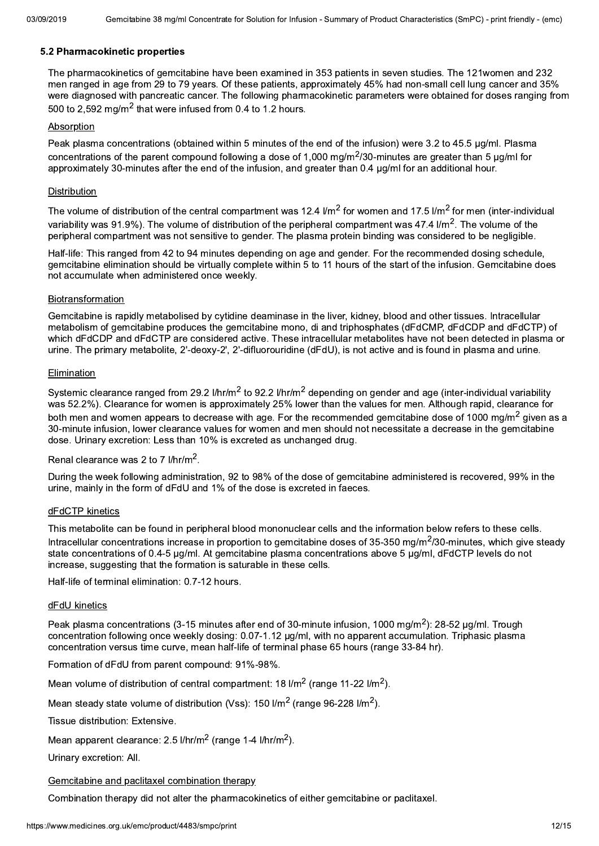### 5.2 Pharmacokinetic properties

The pharmacokinetics of gemcitabine have been examined in 353 patients in seven studies. The 121women and 232 men ranged in age from 29 to 79 years. Of these patients, approximately 45% had non-small cell lung cancer and 35% were diagnosed with pancreatic cancer. The following pharmacokinetic parameters were obtained for doses ranging from 500 to 2.592 mg/m<sup>2</sup> that were infused from 0.4 to 1.2 hours.

### Absorption

Peak plasma concentrations (obtained within 5 minutes of the end of the infusion) were 3.2 to 45.5 µg/ml. Plasma concentrations of the parent compound following a dose of 1,000 mg/m<sup>2</sup>/30-minutes are greater than 5  $\mu$ g/ml for approximately 30-minutes after the end of the infusion, and greater than 0.4 ug/ml for an additional hour.

### Distribution

The volume of distribution of the central compartment was 12.4  $1/m^2$  for women and 17.5  $1/m^2$  for men (inter-individual variability was 91.9%). The volume of distribution of the peripheral compartment was 47.4  $\rm{Im}^{2}$ . The volume of the peripheral compartment was not sensitive to gender. The plasma protein binding was considered to be negligible.

Half-life: This ranged from 42 to 94 minutes depending on age and gender. For the recommended dosing schedule, gemcitabine elimination should be virtually complete within 5 to 11 hours of the start of the infusion. Gemcitabine does not accumulate when administered once weekly.

#### Biotransformation

Gemcitabine is rapidly metabolised by cytidine deaminase in the liver, kidney, blood and other tissues. Intracellular metabolism of gemcitabine produces the gemcitabine mono, di and triphosphates (dFdCMP, dFdCDP and dFdCTP) of which dFdCDP and dFdCTP are considered active. These intracellular metabolites have not been detected in plasma or urine. The primary metabolite, 2'-deoxy-2', 2'-difluorouridine (dFdU), is not active and is found in plasma and urine.

#### Elimination

Systemic clearance ranged from 29.2 l/hr/m<sup>2</sup> to 92.2 l/hr/m<sup>2</sup> depending on gender and age (inter-individual variability was 52.2%). Clearance for women is approximately 25% lower than the values for men. Although rapid, clearance for both men and women appears to decrease with age. For the recommended gemcitabine dose of 1000 mg/m<sup>2</sup> given as a 30-minute infusion, lower clearance values for women and men should not necessitate a decrease in the gemcitabine dose. Urinary excretion: Less than 10% is excreted as unchanged drug.

### Renal clearance was 2 to 7  $1/hr/m^2$ .

During the week following administration, 92 to 98% of the dose of gemcitabine administered is recovered. 99% in the urine. mainly in the form of dFdU and 1% of the dose is excreted in faeces.

### dFdCTP kinetics

This metabolite can be found in peripheral blood mononuclear cells and the information below refers to these cells. Intracellular concentrations increase in proportion to gemcitabine doses of 35-350 mg/m<sup>2</sup>/30-minutes, which give steady state concentrations of 0.4-5 ug/ml. At gemcitabine plasma concentrations above 5 ug/ml, dFdCTP levels do not increase, suggesting that the formation is saturable in these cells.

Half-life of terminal elimination: 0.7-12 hours.

#### dFdU kinetics

Peak plasma concentrations (3-15 minutes after end of 30-minute infusion, 1000 mg/m<sup>2</sup>): 28-52 µg/ml. Trough concentration following once weekly dosing: 0.07-1.12 ug/ml, with no apparent accumulation. Triphasic plasma concentration versus time curve, mean half-life of terminal phase 65 hours (range 33-84 hr).

Formation of dFdU from parent compound: 91%-98%.

Mean volume of distribution of central compartment:  $18$  I/m<sup>2</sup> (range  $11-22$  I/m<sup>2</sup>).

Mean steady state volume of distribution (Vss): 150 l/m<sup>2</sup> (range 96-228 l/m<sup>2</sup>).

Tissue distribution: Extensive.

Mean apparent clearance: 2.5  $1/hr/m^2$  (range 1-4  $1/hr/m^2$ ).

Urinary excretion: All.

### Gemcitabine and paclitaxel combination therapy

Combination therapy did not alter the pharmacokinetics of either gemcitabine or paclitaxel.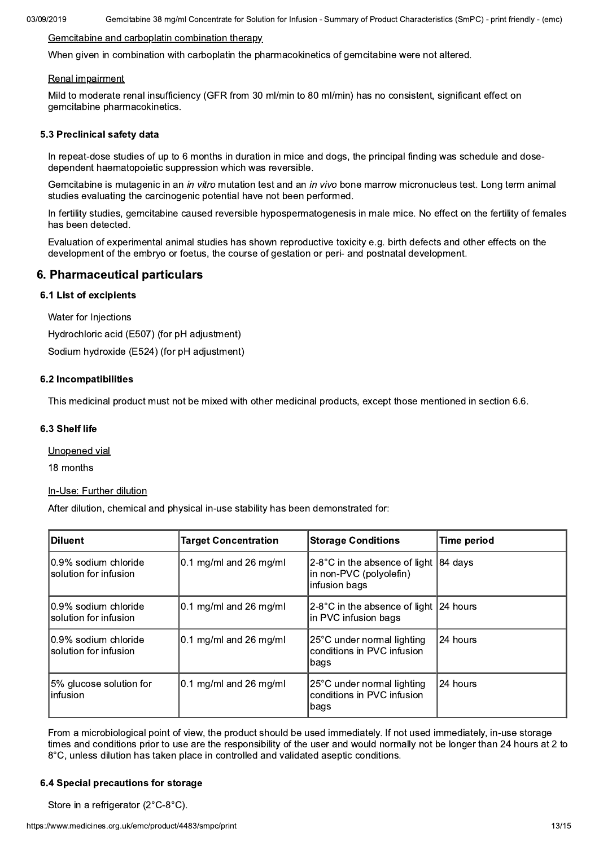Gemcitabine 38 mg/ml Concentrate for Solution for Infusion - Summary of Product Characteristics (SmPC) - print friendly - (emc)

### Gemcitabine and carboplatin combination therapy

When given in combination with carboplatin the pharmacokinetics of gemcitabine were not altered.

#### Renal impairment

Mild to moderate renal insufficiency (GFR from 30 ml/min to 80 ml/min) has no consistent, significant effect on gemcitabine pharmacokinetics.

#### 5.3 Preclinical safety data

In repeat-dose studies of up to 6 months in duration in mice and dogs, the principal finding was schedule and dosedependent haematopoietic suppression which was reversible.

Gemcitabine is mutagenic in an in vitro mutation test and an in vivo bone marrow micronucleus test. Long term animal studies evaluating the carcinogenic potential have not been performed.

In fertility studies, gemcitabine caused reversible hypospermatogenesis in male mice. No effect on the fertility of females has been detected.

Evaluation of experimental animal studies has shown reproductive toxicity e.g. birth defects and other effects on the development of the embryo or foetus, the course of gestation or peri- and postnatal development.

### 6. Pharmaceutical particulars

#### **6.1 List of excipients**

Water for Injections

Hydrochloric acid (E507) (for pH adjustment)

Sodium hydroxide (E524) (for pH adjustment)

#### 6.2 Incompatibilities

This medicinal product must not be mixed with other medicinal products, except those mentioned in section 6.6.

#### 6.3 Shelf life

Unopened vial

18 months

#### In-Use: Further dilution

After dilution, chemical and physical in-use stability has been demonstrated for:

| <b>Diluent</b>                                 | <b>Target Concentration</b> | <b>Storage Conditions</b>                                                    | <b>Time period</b> |
|------------------------------------------------|-----------------------------|------------------------------------------------------------------------------|--------------------|
| I0.9% sodium chloride<br>solution for infusion | $0.1$ mg/ml and 26 mg/ml    | $2-8$ °C in the absence of light<br>in non-PVC (polyolefin)<br>infusion bags | 184 davs           |
| 10.9% sodium chloride<br>solution for infusion | $0.1$ mg/ml and 26 mg/ml    | $2-8$ °C in the absence of light $ 24$ hours<br>in PVC infusion bags         |                    |
| I0.9% sodium chloride<br>solution for infusion | $0.1$ mg/ml and 26 mg/ml    | 25°C under normal lighting<br>conditions in PVC infusion<br>∣bags            | 24 hours           |
| 5% glucose solution for<br>linfusion           | $ 0.1$ mg/ml and 26 mg/ml   | 25°C under normal lighting<br>conditions in PVC infusion<br>bags             | 124 hours          |

From a microbiological point of view, the product should be used immediately. If not used immediately, in-use storage times and conditions prior to use are the responsibility of the user and would normally not be longer than 24 hours at 2 to 8°C, unless dilution has taken place in controlled and validated aseptic conditions.

#### 6.4 Special precautions for storage

Store in a refrigerator (2°C-8°C).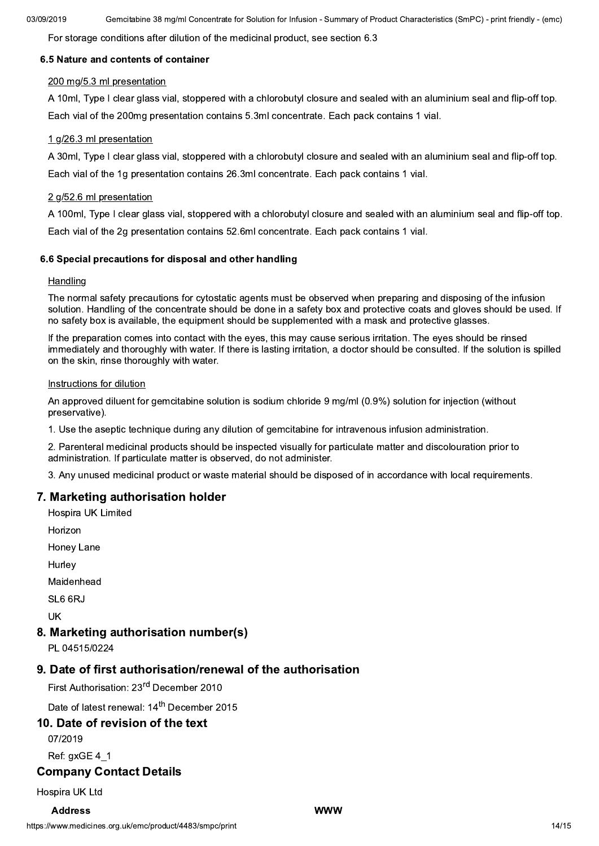For storage conditions after dilution of the medicinal product, see section 6.3

### 6.5 Nature and contents of container

#### 200 mg/5.3 ml presentation

A 10ml. Type I clear glass vial, stoppered with a chlorobutyl closure and sealed with an aluminium seal and flip-off top. Each vial of the 200mg presentation contains 5.3ml concentrate. Each pack contains 1 vial.

### 1 g/26.3 ml presentation

A 30ml, Type I clear glass vial, stoppered with a chlorobutyl closure and sealed with an aluminium seal and flip-off top. Each vial of the 1q presentation contains 26.3ml concentrate. Each pack contains 1 vial.

#### 2 g/52.6 ml presentation

A 100ml, Type I clear glass vial, stoppered with a chlorobutyl closure and sealed with an aluminium seal and flip-off top. Each vial of the 2g presentation contains 52.6ml concentrate. Each pack contains 1 vial.

#### 6.6 Special precautions for disposal and other handling

#### Handling

The normal safety precautions for cytostatic agents must be observed when preparing and disposing of the infusion solution. Handling of the concentrate should be done in a safety box and protective coats and gloves should be used. If no safety box is available, the equipment should be supplemented with a mask and protective glasses.

If the preparation comes into contact with the eves, this may cause serious irritation. The eves should be rinsed immediately and thoroughly with water. If there is lasting irritation, a doctor should be consulted. If the solution is spilled on the skin, rinse thoroughly with water.

#### Instructions for dilution

An approved diluent for gemcitabine solution is sodium chloride 9 mg/ml (0.9%) solution for injection (without preservative).

1. Use the aseptic technique during any dilution of gemcitabine for intravenous infusion administration.

2. Parenteral medicinal products should be inspected visually for particulate matter and discolouration prior to administration. If particulate matter is observed, do not administer.

3. Any unused medicinal product or waste material should be disposed of in accordance with local requirements.

# 7. Marketing authorisation holder

- **Hospira UK Limited**
- Horizon
- **Honey Lane**
- Hurley

Maidenhead

SL6 6RJ

UK

# 8. Marketing authorisation number(s)

PI 04515/0224

# 9. Date of first authorisation/renewal of the authorisation

First Authorisation: 23<sup>rd</sup> December 2010

Date of latest renewal: 14<sup>th</sup> December 2015

# 10. Date of revision of the text

07/2019

# Ref: axGE 4 1

### **Company Contact Details**

Hospira UK Ltd

#### **Address**